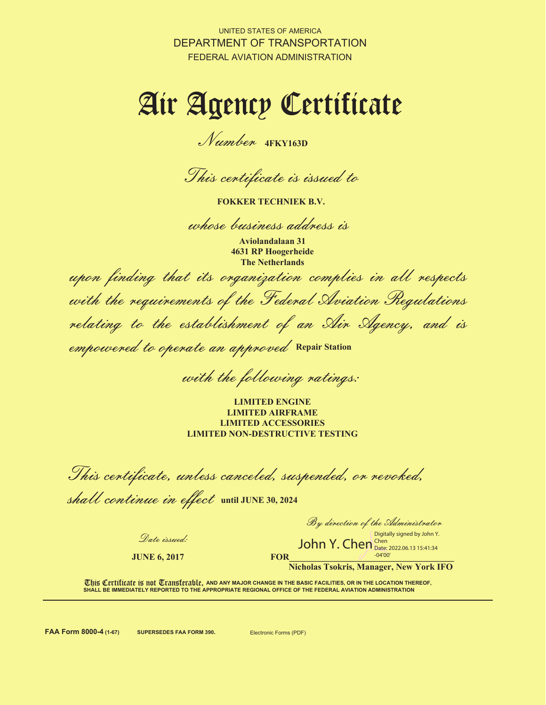UNITED STATES OF AMERICA DEPARTMENT OF TRANSPORTATION FEDERAL AVIATION ADMINISTRATION

# Air Agency Certificate

Number **4FKY163D**

This certificate is issued to

**FOKKER TECHNIEK B.V.**

whose business address is

**Aviolandalaan 31 4631 RP Hoogerheide The Netherlands**

upon finding that its organization complies in all respects

with the requirements of the Federal Aviation Regulations relating to the establishment of an Air Agency, and is

empowered to operate an approved **Repair Station**

with the following ratings:

**LIMITED ENGINE LIMITED AIRFRAME LIMITED ACCESSORIES LIMITED NON-DESTRUCTIVE TESTING** 

This certificate, unless canceled, suspended, or revoked,

shall continue in effect until JUNE 30, 2024

Date issued:

**JUNE 6, 2017**

By direction of the Administrator

**FOR 2008 2008** Digitally signed by John Y.<br>John Y. Chen Date: 2022.06.13 15:41:34 Chen Date: 2022.06.13 15:41:34  $-04'00$ 

**Nicholas Tsokris, Manager, New York IFO**

**This Certificate is not Transferable, and any major change in the basic facilities, or in the location thereof, SHALL BE IMMEDIATELY REPORTED TO THE APPROPRIATE REGIONAL OFFICE OF THE FEDERAL AVIATION ADMINISTRATION**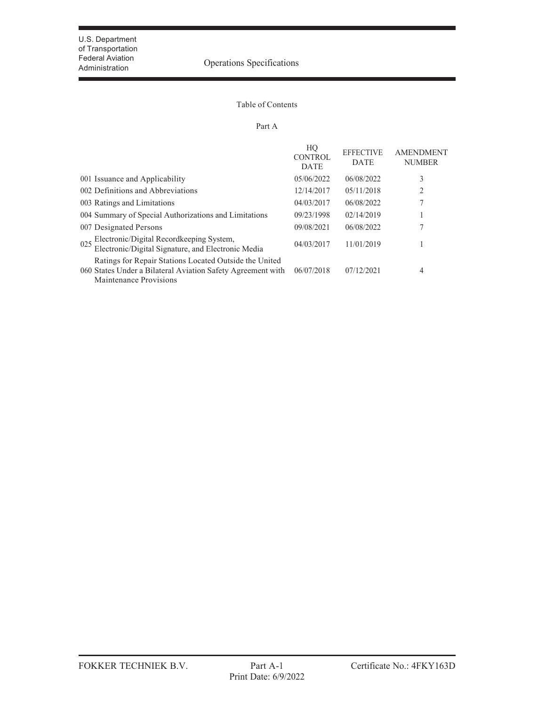## Federal Aviation<br>Administration **Operations** Operations Specifications

#### Table of Contents

#### Part A

|                                                                                                                                                 | HO<br><b>CONTROL</b><br><b>DATE</b> | <b>EFFECTIVE</b><br><b>DATE</b> | <b>AMENDMENT</b><br><b>NUMBER</b> |
|-------------------------------------------------------------------------------------------------------------------------------------------------|-------------------------------------|---------------------------------|-----------------------------------|
| 001 Issuance and Applicability                                                                                                                  | 05/06/2022                          | 06/08/2022                      | 3                                 |
| 002 Definitions and Abbreviations                                                                                                               | 12/14/2017                          | 05/11/2018                      | 2                                 |
| 003 Ratings and Limitations                                                                                                                     | 04/03/2017                          | 06/08/2022                      | 7                                 |
| 004 Summary of Special Authorizations and Limitations                                                                                           | 09/23/1998                          | 02/14/2019                      |                                   |
| 007 Designated Persons                                                                                                                          | 09/08/2021                          | 06/08/2022                      | 7                                 |
| Electronic/Digital Recordkeeping System,<br>Electronic/Digital Signature, and Electronic Media<br>025                                           | 04/03/2017                          | 11/01/2019                      |                                   |
| Ratings for Repair Stations Located Outside the United<br>060 States Under a Bilateral Aviation Safety Agreement with<br>Maintenance Provisions | 06/07/2018                          | 07/12/2021                      | 4                                 |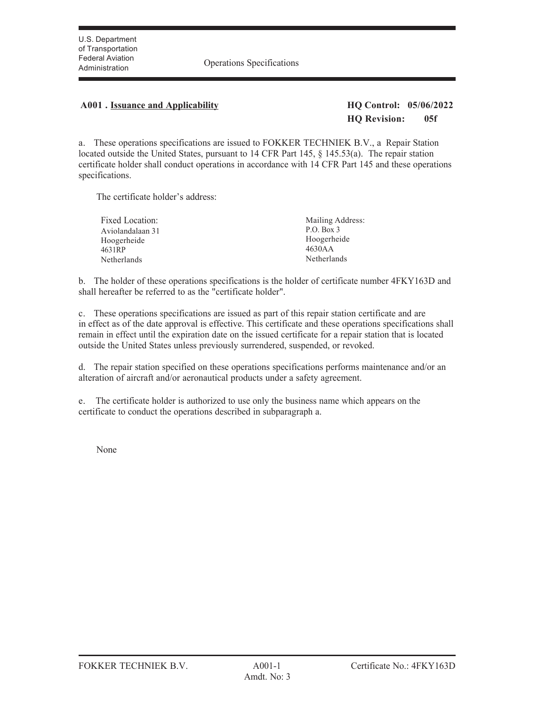Administration Operations Specifications

## **A001 . Issuance and Applicability HQ Control: 05/06/2022**

## **HQ Revision: 05f**

a. These operations specifications are issued to FOKKER TECHNIEK B.V., a Repair Station located outside the United States, pursuant to 14 CFR Part 145, § 145.53(a). The repair station certificate holder shall conduct operations in accordance with 14 CFR Part 145 and these operations specifications.

The certificate holder's address:

| Fixed Location:  | Mailing Address: |
|------------------|------------------|
| Aviolandalaan 31 | P.O. Box 3       |
| Hoogerheide      | Hoogerheide      |
| 4631RP           | 4630AA           |
| Netherlands      | Netherlands      |

b. The holder of these operations specifications is the holder of certificate number 4FKY163D and shall hereafter be referred to as the "certificate holder".

c. These operations specifications are issued as part of this repair station certificate and are in effect as of the date approval is effective. This certificate and these operations specifications shall remain in effect until the expiration date on the issued certificate for a repair station that is located outside the United States unless previously surrendered, suspended, or revoked.

d. The repair station specified on these operations specifications performs maintenance and/or an alteration of aircraft and/or aeronautical products under a safety agreement.

e. The certificate holder is authorized to use only the business name which appears on the certificate to conduct the operations described in subparagraph a.

None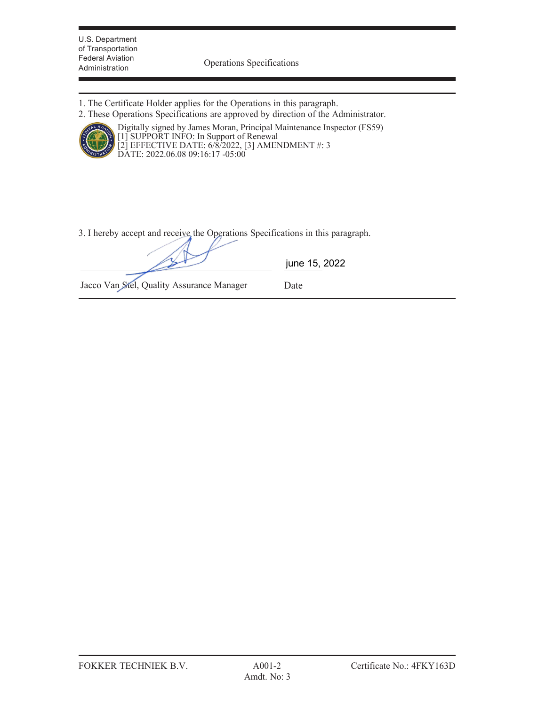U.S. Department of Transportation Federal Aviation

Administration Operations Specifications

- 1. The Certificate Holder applies for the Operations in this paragraph.
- 2. These Operations Specifications are approved by direction of the Administrator.



Digitally signed by James Moran, Principal Maintenance Inspector (FS59) [1] SUPPORT INFO: In Support of Renewal [2] EFFECTIVE DATE: 6/8/2022, [3] AMENDMENT #: 3 DATE: 2022.06.08 09:16:17 -05:00

3. I hereby accept and receive the Operations Specifications in this paragraph.

|                                           | june 15, 2022 |
|-------------------------------------------|---------------|
| Jacco Van Stel, Quality Assurance Manager | Date          |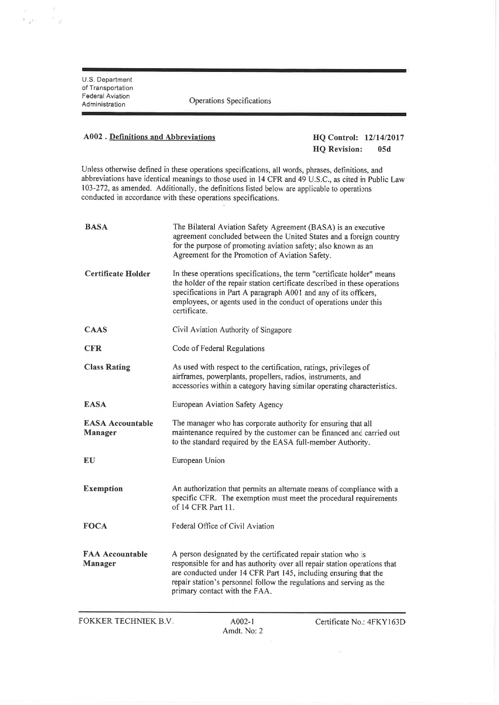$\sim$  $\begin{array}{l} \frac{1}{2} & \text{if } \\ \frac{1}{2} & \text{if } \\ \frac{1}{2} & \text{if } \\ \frac{1}{2} & \text{if } \\ \frac{1}{2} & \text{if } \\ \frac{1}{2} & \text{if } \\ \frac{1}{2} & \text{if } \\ \frac{1}{2} & \text{if } \\ \frac{1}{2} & \text{if } \\ \frac{1}{2} & \text{if } \\ \frac{1}{2} & \text{if } \\ \frac{1}{2} & \text{if } \\ \frac{1}{2} & \text{if } \\ \frac{1}{2} & \text{if } \\ \frac{1}{2} & \text{if } \\ \frac{$ 

Operations Specifications

#### A002. Definitions and Abbreviations

HQ Control: 12/14/2017 **HQ** Revision:  $05d$ 

Unless otherwise defined in these operations specifications, all words, phrases, definitions, and abbreviations have identical meanings to those used in 14 CFR and 49 U.S.C., as cited in Public Law 103-272, as amended. Additionally, the definitions listed below are applicable to operations conducted in accordance with these operations specifications.

| <b>BASA</b>                               | The Bilateral Aviation Safety Agreement (BASA) is an executive<br>agreement concluded between the United States and a foreign country<br>for the purpose of promoting aviation safety; also known as an<br>Agreement for the Promotion of Aviation Safety.                                                              |
|-------------------------------------------|-------------------------------------------------------------------------------------------------------------------------------------------------------------------------------------------------------------------------------------------------------------------------------------------------------------------------|
| <b>Certificate Holder</b>                 | In these operations specifications, the term "certificate holder" means<br>the holder of the repair station certificate described in these operations<br>specifications in Part A paragraph A001 and any of its officers,<br>employees, or agents used in the conduct of operations under this<br>certificate.          |
| CAAS                                      | Civil Aviation Authority of Singapore                                                                                                                                                                                                                                                                                   |
| <b>CFR</b>                                | Code of Federal Regulations                                                                                                                                                                                                                                                                                             |
| <b>Class Rating</b>                       | As used with respect to the certification, ratings, privileges of<br>airframes, powerplants, propellers, radios, instruments, and<br>accessories within a category having similar operating characteristics.                                                                                                            |
| <b>EASA</b>                               | European Aviation Safety Agency                                                                                                                                                                                                                                                                                         |
| <b>EASA Accountable</b><br><b>Manager</b> | The manager who has corporate authority for ensuring that all<br>maintenance required by the customer can be financed and carried out<br>to the standard required by the EASA full-member Authority.                                                                                                                    |
| EU                                        | European Union                                                                                                                                                                                                                                                                                                          |
| <b>Exemption</b>                          | An authorization that permits an alternate means of compliance with a<br>specific CFR. The exemption must meet the procedural requirements<br>of 14 CFR Part 11.                                                                                                                                                        |
| <b>FOCA</b>                               | Federal Office of Civil Aviation                                                                                                                                                                                                                                                                                        |
| <b>FAA Accountable</b><br><b>Manager</b>  | A person designated by the certificated repair station who is<br>responsible for and has authority over all repair station operations that<br>are conducted under 14 CFR Part 145, including ensuring that the<br>repair station's personnel follow the regulations and serving as the<br>primary contact with the FAA. |

**FOKKER TECHNIEK B.V.** 

 $\widetilde{\mathcal{N}}$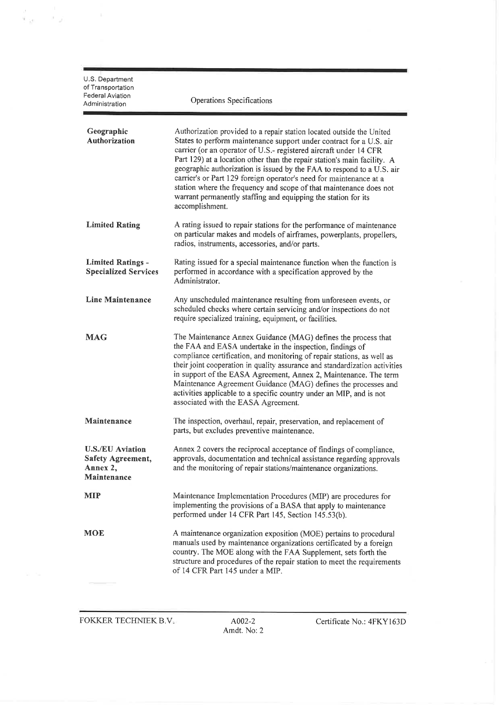| U.S. Department<br>of Transportation<br><b>Federal Aviation</b><br>Administration | Operations Specifications                                                                                                                                                                                                                                                                                                                                                                                                                                                                                                                                                                                |
|-----------------------------------------------------------------------------------|----------------------------------------------------------------------------------------------------------------------------------------------------------------------------------------------------------------------------------------------------------------------------------------------------------------------------------------------------------------------------------------------------------------------------------------------------------------------------------------------------------------------------------------------------------------------------------------------------------|
| Geographic<br>Authorization                                                       | Authorization provided to a repair station located outside the United<br>States to perform maintenance support under contract for a U.S. air<br>carrier (or an operator of U.S.- registered aircraft under 14 CFR<br>Part 129) at a location other than the repair station's main facility. A<br>geographic authorization is issued by the FAA to respond to a U.S. air<br>carrier's or Part 129 foreign operator's need for maintenance at a<br>station where the frequency and scope of that maintenance does not<br>warrant permanently staffing and equipping the station for its<br>accomplishment. |
| <b>Limited Rating</b>                                                             | A rating issued to repair stations for the performance of maintenance<br>on particular makes and models of airframes, powerplants, propellers,<br>radios, instruments, accessories, and/or parts.                                                                                                                                                                                                                                                                                                                                                                                                        |
| <b>Limited Ratings -</b><br><b>Specialized Services</b>                           | Rating issued for a special maintenance function when the function is<br>performed in accordance with a specification approved by the<br>Administrator.                                                                                                                                                                                                                                                                                                                                                                                                                                                  |
| Line Maintenance                                                                  | Any unscheduled maintenance resulting from unforeseen events, or<br>scheduled checks where certain servicing and/or inspections do not<br>require specialized training, equipment, or facilities.                                                                                                                                                                                                                                                                                                                                                                                                        |
| <b>MAG</b>                                                                        | The Maintenance Annex Guidance (MAG) defines the process that<br>the FAA and EASA undertake in the inspection, findings of<br>compliance certification, and monitoring of repair stations, as well as<br>their joint cooperation in quality assurance and standardization activities<br>in support of the EASA Agreement, Annex 2, Maintenance. The term<br>Maintenance Agreement Guidance (MAG) defines the processes and<br>activities applicable to a specific country under an MIP, and is not<br>associated with the EASA Agreement.                                                                |
| Maintenance                                                                       | The inspection, overhaul, repair, preservation, and replacement of<br>parts, but excludes preventive maintenance.                                                                                                                                                                                                                                                                                                                                                                                                                                                                                        |
| <b>U.S./EU Aviation</b><br>Safety Agreement,<br>Annex 2,<br>Maintenance           | Annex 2 covers the reciprocal acceptance of findings of compliance,<br>approvals, documentation and technical assistance regarding approvals<br>and the monitoring of repair stations/maintenance organizations.                                                                                                                                                                                                                                                                                                                                                                                         |
| MIP                                                                               | Maintenance Implementation Procedures (MIP) are procedures for<br>implementing the provisions of a BASA that apply to maintenance<br>performed under 14 CFR Part 145, Section 145.53(b).                                                                                                                                                                                                                                                                                                                                                                                                                 |
| <b>MOE</b>                                                                        | A maintenance organization exposition (MOE) pertains to procedural<br>manuals used by maintenance organizations certificated by a foreign<br>country. The MOE along with the FAA Supplement, sets forth the<br>structure and procedures of the repair station to meet the requirements<br>of 14 CFR Part 145 under a MIP.                                                                                                                                                                                                                                                                                |

 $\begin{array}{ccc} \frac{\partial}{\partial t} & \cdots & \frac{\partial}{\partial t} & \cdots & \cdots & \cdots \\ \frac{\partial}{\partial t} & \frac{\partial}{\partial t} & \cdots & \frac{\partial}{\partial t} & \cdots & \cdots & \cdots \end{array}$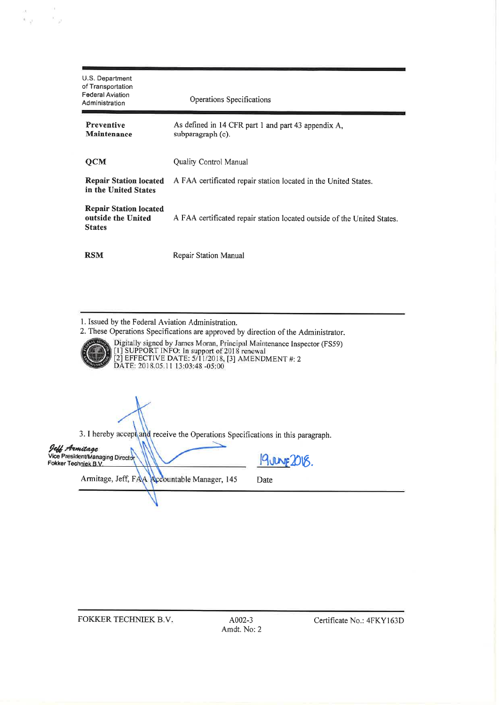| U.S. Department<br>of Transportation<br><b>Federal Aviation</b><br>Administration | Operations Specifications                                                |
|-----------------------------------------------------------------------------------|--------------------------------------------------------------------------|
| <b>Preventive</b><br>Maintenance                                                  | As defined in 14 CFR part 1 and part 43 appendix A,<br>subparagraph (c). |
| $OCM$                                                                             | Quality Control Manual                                                   |
| <b>Repair Station located</b><br>in the United States                             | A FAA certificated repair station located in the United States.          |
| <b>Repair Station located</b><br>outside the United<br><b>States</b>              | A FAA certificated repair station located outside of the United States.  |
| <b>RSM</b>                                                                        | Repair Station Manual                                                    |

1. Issued by the Federal Aviation Administration.<br>2. These Operations Specifications are approved

an<br>Yigi Kigi

| 2. These Operations Specifications are approved by direction of the Administrator.<br>Digitally signed by James Moran, Principal Maintenance Inspector (FS59) |
|---------------------------------------------------------------------------------------------------------------------------------------------------------------|
| [1] SUPPORT INFO: In support of 2018 renewal<br>[2] EFFECTIVE DATE: $5/11/2018$ , [3] AMENDMENT #: 2<br>DATE: 2018.05.11 13:03:48 -05:00                      |
|                                                                                                                                                               |

3. I hereby accept and receive the Operations Specifications in this paragraph.

| Jeff Armilage<br>Vice President/Managing Director<br>Fokker Techniek B.V. |  |                                              |
|---------------------------------------------------------------------------|--|----------------------------------------------|
|                                                                           |  | Armitage, Jeff, FAA Accountable Manager, 145 |

19 JULYE 2018.

Date

FOKKER TECHNIEK B.V.

A002-3 Amdt. No: 2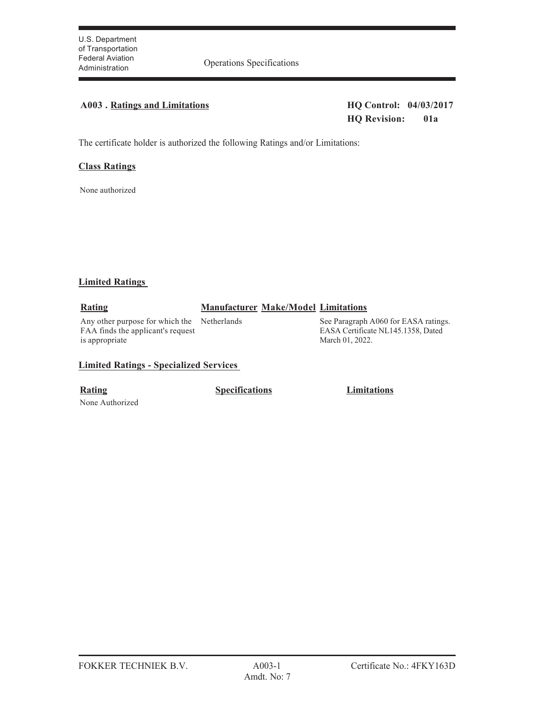Administration Operations Specifications

## **A003 . Ratings and Limitations HQ Control: 04/03/2017**

**HQ Revision: 01a**

The certificate holder is authorized the following Ratings and/or Limitations:

#### **Class Ratings**

None authorized

#### **Limited Ratings**

#### **Rating Manufacturer Make/Model Limitations**

Any other purpose for which the Netherlands FAA finds the applicant's request is appropriate

See Paragraph A060 for EASA ratings. EASA Certificate NL145.1358, Dated March 01, 2022.

#### **Limited Ratings - Specialized Services**

None Authorized

**Rating Specifications Limitations**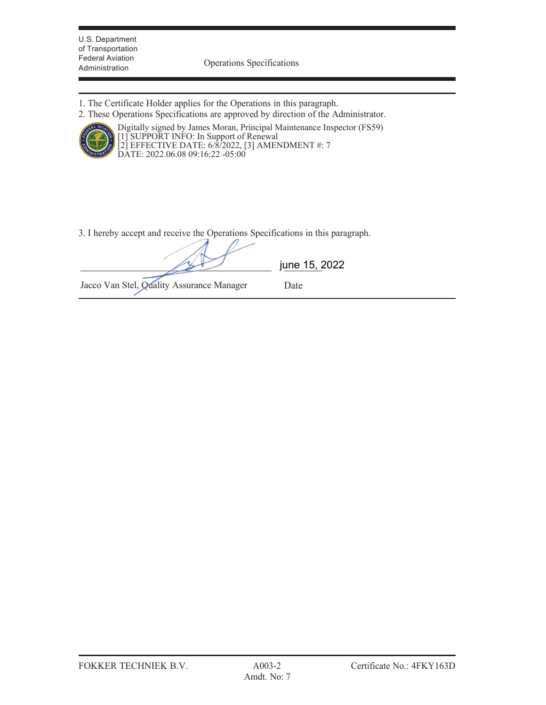U.S. Department of Transportation Federal Aviation

Administration Operations Specifications

- 1. The Certificate Holder applies for the Operations in this paragraph.
- 2. These Operations Specifications are approved by direction of the Administrator.



Digitally signed by James Moran, Principal Maintenance Inspector (FS59) [1] SUPPORT INFO: In Support of Renewal [2] EFFECTIVE DATE: 6/8/2022, [3] AMENDMENT #: 7 DATE: 2022.06.08 09:16:22 -05:00

3. I hereby accept and receive the Operations Specifications in this paragraph.

|                                           | june 15, 2022 |  |
|-------------------------------------------|---------------|--|
| Jacco Van Stel, Quality Assurance Manager | Date          |  |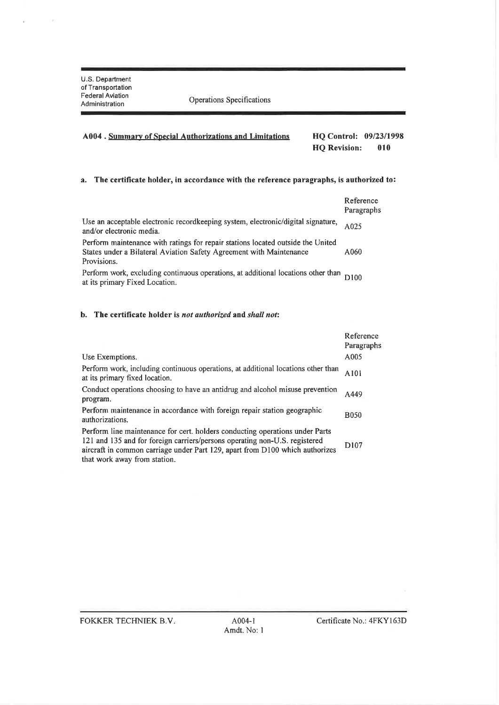$\sim$ 

Operations Specifications

#### **HQ Control: 09/23/1998** A004. Summary of Special Authorizations and Limitations **HQ Revision:** 010

#### a. The certificate holder, in accordance with the reference paragraphs, is authorized to:

|                                                                                                                                                                       | Reference<br>Paragraphs |
|-----------------------------------------------------------------------------------------------------------------------------------------------------------------------|-------------------------|
| Use an acceptable electronic recordkeeping system, electronic/digital signature,<br>and/or electronic media.                                                          | A025                    |
| Perform maintenance with ratings for repair stations located outside the United<br>States under a Bilateral Aviation Safety Agreement with Maintenance<br>Provisions. | A060                    |
| Perform work, excluding continuous operations, at additional locations other than D100<br>at its primary Fixed Location.                                              |                         |

#### b. The certificate holder is not authorized and shall not:

|                                                                                                                                                                                                                                                                            | Reference<br>Paragraphs |
|----------------------------------------------------------------------------------------------------------------------------------------------------------------------------------------------------------------------------------------------------------------------------|-------------------------|
| Use Exemptions.                                                                                                                                                                                                                                                            | A005                    |
| Perform work, including continuous operations, at additional locations other than<br>at its primary fixed location.                                                                                                                                                        | A101                    |
| Conduct operations choosing to have an antidrug and alcohol misuse prevention<br>program.                                                                                                                                                                                  | A449                    |
| Perform maintenance in accordance with foreign repair station geographic<br>authorizations.                                                                                                                                                                                | <b>B050</b>             |
| Perform line maintenance for cert, holders conducting operations under Parts<br>121 and 135 and for foreign carriers/persons operating non-U.S. registered<br>aircraft in common carriage under Part 129, apart from D100 which authorizes<br>that work away from station. | D <sub>107</sub>        |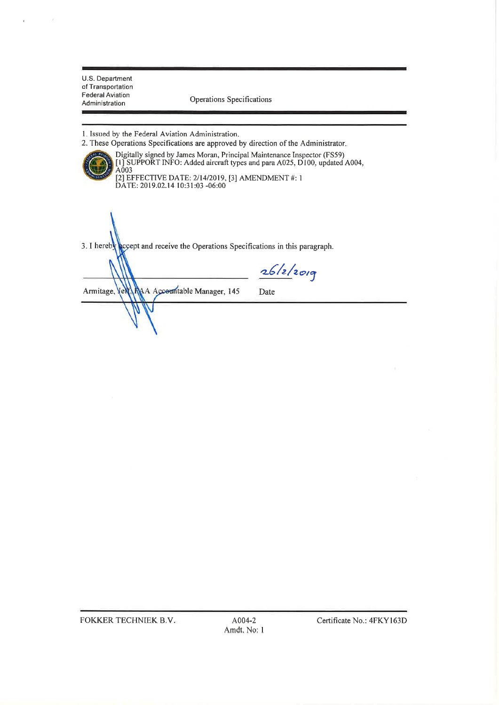×

Operations Specifications

1. Issued by the Federal Aviation Administration.

2. These Operations Specifications are approved by direction of the Administrator. Digitally signed by James Moran, Principal Maintenance Inspector (FS59)<br>[1] SUPPORT INFO: Added aircraft types and para A025, D100, updated A004,<br>A003 [2] EFFECTIVE DATE: 2/14/2019, [3] AMENDMENT #: 1<br>DATE: 2019.02.14 10:31:03 -06:00

3. I hereby except and receive the Operations Specifications in this paragraph.

 $26/2/2019$ NA Accountable Manager, 145 Armitage, Vel Date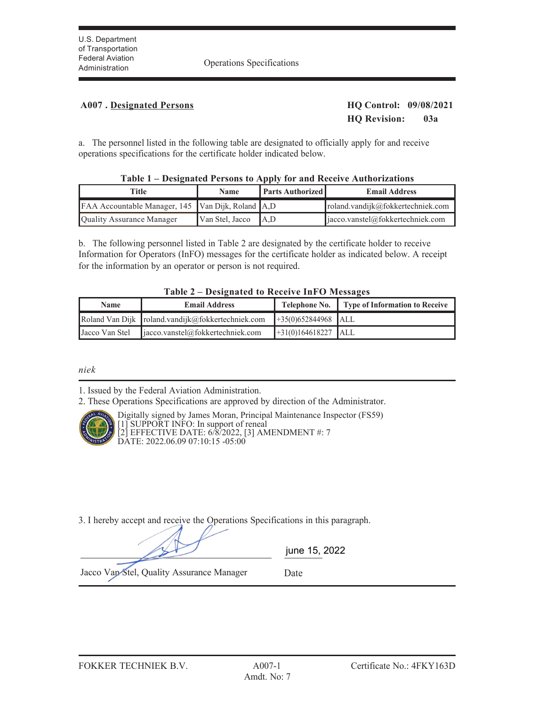Administration Operations Specifications

## **A007 . Designated Persons HQ Control: 09/08/2021**

**HQ Revision: 03a**

a. The personnel listed in the following table are designated to officially apply for and receive operations specifications for the certificate holder indicated below.

| $1400x + 1$ Designated 1 ersons to Apply for and Accelve Authorizations |                 |                         |                                              |  |  |
|-------------------------------------------------------------------------|-----------------|-------------------------|----------------------------------------------|--|--|
| Title                                                                   | <b>Name</b>     | <b>Parts Authorized</b> | <b>Email Address</b>                         |  |  |
| FAA Accountable Manager, 145 Van Dijk, Roland A,D                       |                 |                         | roland.vandijk@fokkertechniek.com            |  |  |
| <b>Ouality Assurance Manager</b>                                        | Van Stel, Jacco | $\mathsf{IA}$ .D        | $\parallel$ jacco.vanstel@fokkertechniek.com |  |  |

|  |  | Table 1 – Designated Persons to Apply for and Receive Authorizations |
|--|--|----------------------------------------------------------------------|
|--|--|----------------------------------------------------------------------|

b. The following personnel listed in Table 2 are designated by the certificate holder to receive Information for Operators (InFO) messages for the certificate holder as indicated below. A receipt for the information by an operator or person is not required.

#### **Table 2 – Designated to Receive InFO Messages**

| <b>Name</b> | <b>Email Address</b>                                        |                       | Telephone No.   Type of Information to Receive |
|-------------|-------------------------------------------------------------|-----------------------|------------------------------------------------|
|             | Roland Van Dijk   roland.vandijk@fokkertechniek.com         | $+35(0)652844968$ ALL |                                                |
|             | Jacco Van Stel $\parallel$ jacco vanstel@fokkertechniek.com | $+31(0)164618227$ ALL |                                                |

*niek*

1. Issued by the Federal Aviation Administration.

2. These Operations Specifications are approved by direction of the Administrator.



Digitally signed by James Moran, Principal Maintenance Inspector (FS59) [1] SUPPORT INFO: In support of reneal [2] EFFECTIVE DATE: 6/8/2022, [3] AMENDMENT #: 7 DATE: 2022.06.09 07:10:15 -05:00

3. I hereby accept and receive the Operations Specifications in this paragraph.

|                                           | june 15, 2022 |  |
|-------------------------------------------|---------------|--|
| Jacco Van Stel, Quality Assurance Manager | Date          |  |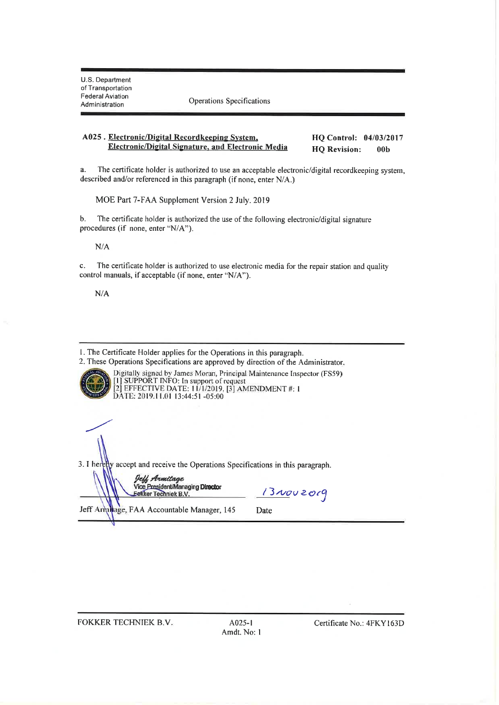Operations Specifications

#### A025. Electronic/Digital Recordkeeping System, HQ Control: 04/03/2017 **Electronic/Digital Signature, and Electronic Media HQ Revision:**  $00<sub>b</sub>$

 $a$ . The certificate holder is authorized to use an acceptable electronic/digital recordkeeping system, described and/or referenced in this paragraph (if none, enter N/A.)

MOE Part 7-FAA Supplement Version 2 July. 2019

 $<sub>b</sub>$ </sub> The certificate holder is authorized the use of the following electronic/digital signature procedures (if none, enter "N/A").

 $N/A$ 

The certificate holder is authorized to use electronic media for the repair station and quality  $\mathbf{c}$ . control manuals, if acceptable (if none, enter "N/A").

 $N/A$ 

1. The Certificate Holder applies for the Operations in this paragraph.

2. These Operations Specifications are approved by direction of the Administrator. Digitally signed by James Moran, Principal Maintenance Inspector (FS59)<br>[1] SUPPORT INFO: In support of request<br>[2] EFFECTIVE DATE: 11/1/2019, [3] AMENDMENT #: 1 DATE: 2019.11.01 13:44:51 -05:00

3. I heretly accept and receive the Operations Specifications in this paragraph.

Jeff Armitage Vice President/Managing Director Eekker Techniek B.V.

13NOU2019

Jeff Armiage, FAA Accountable Manager, 145

Date

FOKKER TECHNIEK B.V.

A025-1 Amdt. No: 1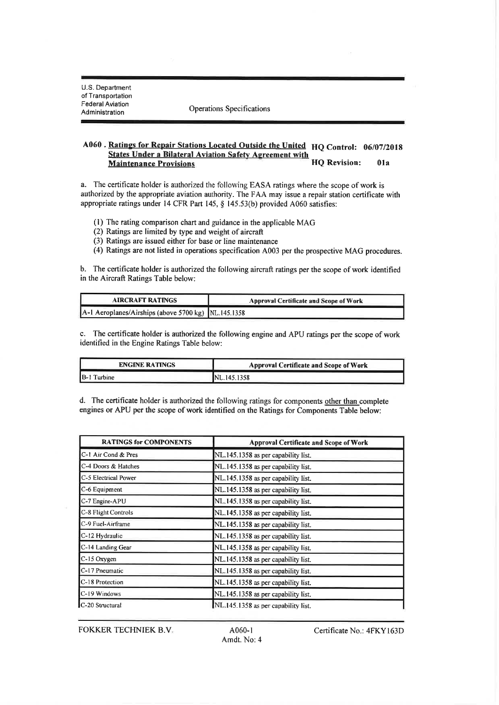Operations Specifications

#### A060. Ratings for Repair Stations Located Outside the United HQ Control: 06/07/2018 **States Under a Bilateral Aviation Safety Agreement with HO** Revision: **Maintenance Provisions**  $01a$

a. The certificate holder is authorized the following EASA ratings where the scope of work is authorized by the appropriate aviation authority. The FAA may issue a repair station certificate with appropriate ratings under 14 CFR Part 145, § 145.53(b) provided A060 satisfies:

- (1) The rating comparison chart and guidance in the applicable MAG
- (2) Ratings are limited by type and weight of aircraft
- (3) Ratings are issued either for base or line maintenance
- (4) Ratings are not listed in operations specification A003 per the prospective MAG procedures.

b. The certificate holder is authorized the following aircraft ratings per the scope of work identified in the Aircraft Ratings Table below:

| <b>AIRCRAFT RATINGS</b>                             | <b>Approval Certificate and Scope of Work</b> |
|-----------------------------------------------------|-----------------------------------------------|
| A-1 Aeroplanes/Airships (above 5700 kg) NL.145.1358 |                                               |

c. The certificate holder is authorized the following engine and APU ratings per the scope of work identified in the Engine Ratings Table below:

| <b>ENGINE RATINGS</b> | Approval Certificate and Scope of Work |  |
|-----------------------|----------------------------------------|--|
| IB-11<br>Turbine      | INL 145.1358                           |  |

d. The certificate holder is authorized the following ratings for components other than complete engines or APU per the scope of work identified on the Ratings for Components Table below:

| <b>RATINGS for COMPONENTS</b> | Approval Certificate and Scope of Work |
|-------------------------------|----------------------------------------|
| C-1 Air Cond & Pres           | NL.145.1358 as per capability list.    |
| C-4 Doors & Hatches           | NL.145.1358 as per capability list.    |
| C-5 Electrical Power          | NL.145.1358 as per capability list.    |
| C-6 Equipment                 | NL.145.1358 as per capability list.    |
| C-7 Engine-APU                | NL.145.1358 as per capability list.    |
| C-8 Flight Controls           | NL.145.1358 as per capability list.    |
| C-9 Fuel-Airframe             | NL.145.1358 as per capability list.    |
| C-12 Hydraulic                | NL.145.1358 as per capability list.    |
| C-14 Landing Gear             | NL.145.1358 as per capability list.    |
| C-15 Oxygen                   | NL.145.1358 as per capability list.    |
| C-17 Pneumatic                | NL.145.1358 as per capability list.    |
| C-18 Protection               | NL.145.1358 as per capability list.    |
| C-19 Windows                  | NL.145.1358 as per capability list.    |
| C-20 Structural               | NL 145.1358 as per capability list.    |

**FOKKER TECHNIEK B.V.**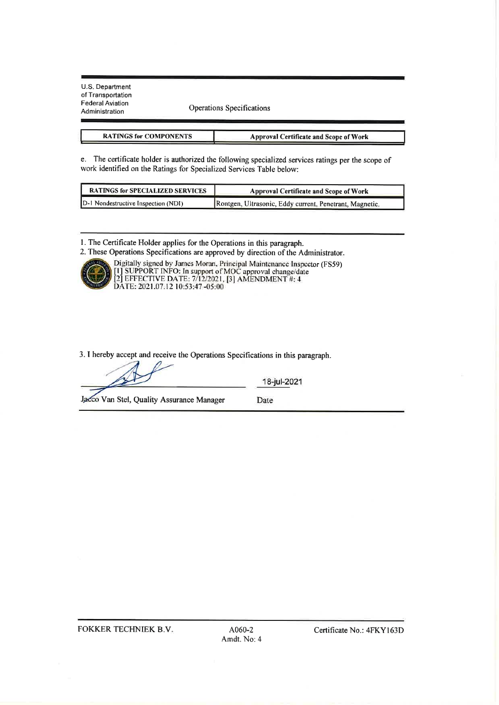**Operations Specifications** 

| <b>RATINGS for COMPONENTS</b> | Approval Certificate and Scope of Work |  |
|-------------------------------|----------------------------------------|--|
|-------------------------------|----------------------------------------|--|

e. The certificate holder is authorized the following specialized services ratings per the scope of work identified on the Ratings for Specialized Services Table below:

| <b>RATINGS for SPECIALIZED SERVICES</b> | Approval Certificate and Scope of Work                  |
|-----------------------------------------|---------------------------------------------------------|
| D-1 Nondestructive Inspection (NDI)     | Rontgen, Ultrasonic, Eddy current, Penetrant, Magnetic. |

1. The Certificate Holder applies for the Operations in this paragraph.

2. These Operations Specifications are approved by direction of the Administrator.



Digitally signed by James Moran, Principal Maintenance Inspector (FS59)<br>[1] SUPPORT INFO: In support of MOC approval change/date<br>[2] EFFECTIVE DATE: 7/12/2021, [3] AMENDMENT #: 4 DATE: 2021.07.12 10:53:47 -05:00

3. I hereby accept and receive the Operations Specifications in this paragraph.

18-jul-2021

Jacco Van Stel, Quality Assurance Manager

Date

**FOKKER TECHNIEK B.V.**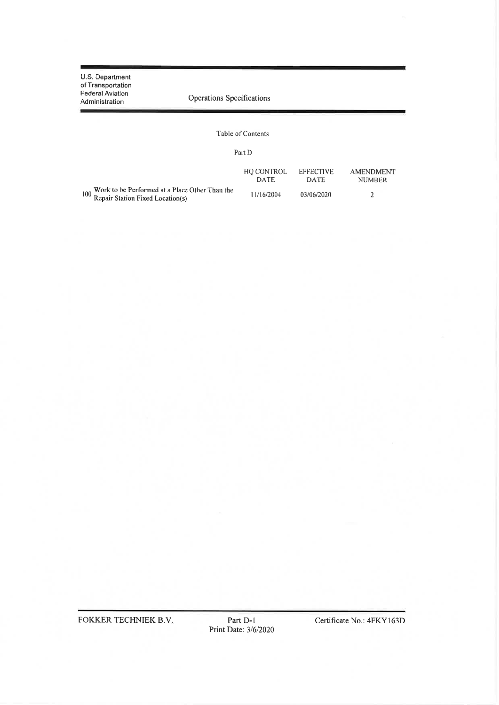U.S. Department of Transportation<br>Federal Aviation Operations Specifications Administration Table of Contents Part D  ${\rm HQ}$  CONTROL DATE **EFFECTIVE AMENDMENT NUMBER** DATE 100 Work to be Performed at a Place Other Than the<br>100 Repair Station Fixed Location(s) 11/16/2004 03/06/2020  $\sqrt{2}$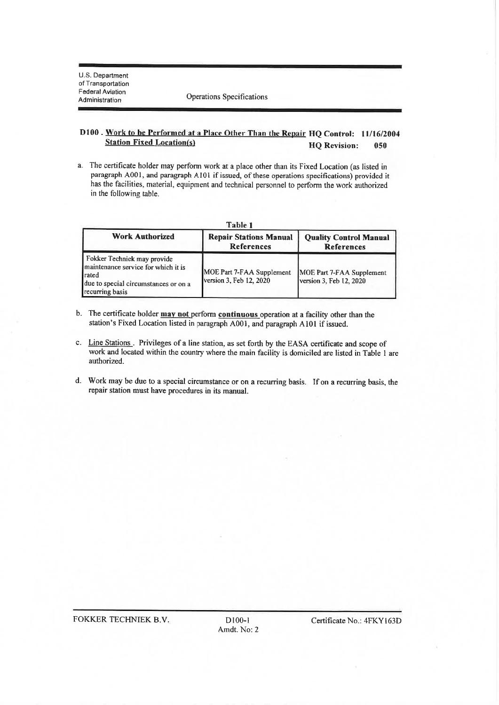Operations Specifications

#### D100. Work to be Performed at a Place Other Than the Repair HQ Control: 11/16/2004 **Station Fixed Location(s) HQ Revision:** 050

a. The certificate holder may perform work at a place other than its Fixed Location (as listed in paragraph A001, and paragraph A101 if issued, of these operations specifications) provided it has the facilities, material, equipment and technical personnel to perform the work authorized in the following table.

| Table 1                                                                                                                                 |                                                      |                                                      |
|-----------------------------------------------------------------------------------------------------------------------------------------|------------------------------------------------------|------------------------------------------------------|
| <b>Work Authorized</b>                                                                                                                  | <b>Repair Stations Manual</b><br><b>References</b>   | <b>Quality Control Manual</b><br><b>References</b>   |
| Fokker Techniek may provide<br>maintenance service for which it is<br>Irated<br>due to special circumstances or on a<br>recurring basis | MOE Part 7-FAA Supplement<br>version 3, Feb 12, 2020 | MOE Part 7-FAA Supplement<br>version 3, Feb 12, 2020 |

- b. The certificate holder may not perform continuous operation at a facility other than the station's Fixed Location listed in paragraph A001, and paragraph A101 if issued.
- c. Line Stations. Privileges of a line station, as set forth by the EASA certificate and scope of work and located within the country where the main facility is domiciled are listed in Table 1 are authorized.
- d. Work may be due to a special circumstance or on a recurring basis. If on a recurring basis, the repair station must have procedures in its manual.